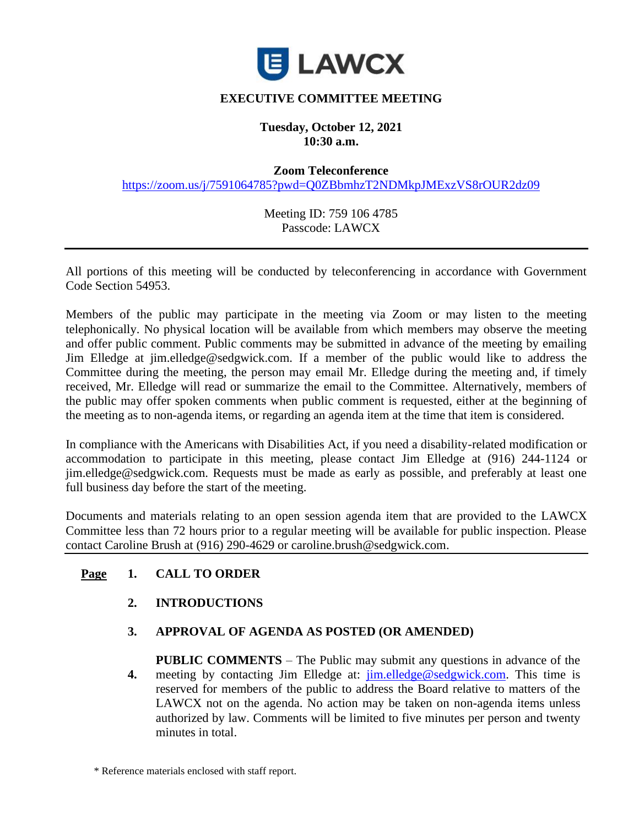

# **EXECUTIVE COMMITTEE MEETING**

#### **Tuesday, October 12, 2021 10:30 a.m.**

**Zoom Teleconference** 

<https://zoom.us/j/7591064785?pwd=Q0ZBbmhzT2NDMkpJMExzVS8rOUR2dz09>

Meeting ID: 759 106 4785 Passcode: LAWCX

All portions of this meeting will be conducted by teleconferencing in accordance with Government Code Section 54953.

Members of the public may participate in the meeting via Zoom or may listen to the meeting telephonically. No physical location will be available from which members may observe the meeting and offer public comment. Public comments may be submitted in advance of the meeting by emailing Jim Elledge at jim.elledge@sedgwick.com. If a member of the public would like to address the Committee during the meeting, the person may email Mr. Elledge during the meeting and, if timely received, Mr. Elledge will read or summarize the email to the Committee. Alternatively, members of the public may offer spoken comments when public comment is requested, either at the beginning of the meeting as to non-agenda items, or regarding an agenda item at the time that item is considered.

In compliance with the Americans with Disabilities Act, if you need a disability-related modification or accommodation to participate in this meeting, please contact Jim Elledge at (916) 244-1124 or jim.elledge@sedgwick.com. Requests must be made as early as possible, and preferably at least one full business day before the start of the meeting.

Documents and materials relating to an open session agenda item that are provided to the LAWCX Committee less than 72 hours prior to a regular meeting will be available for public inspection. Please contact Caroline Brush at (916) 290-4629 or caroline.brush@sedgwick.com.

### **Page 1. CALL TO ORDER**

**2. INTRODUCTIONS**

#### **3. APPROVAL OF AGENDA AS POSTED (OR AMENDED)**

**4. PUBLIC COMMENTS** – The Public may submit any questions in advance of the meeting by contacting Jim Elledge at: [jim.elledge@sedgwick.com.](mailto:jim.elledge@sedgwick.com) This time is reserved for members of the public to address the Board relative to matters of the LAWCX not on the agenda. No action may be taken on non-agenda items unless authorized by law. Comments will be limited to five minutes per person and twenty minutes in total.

<sup>\*</sup> Reference materials enclosed with staff report.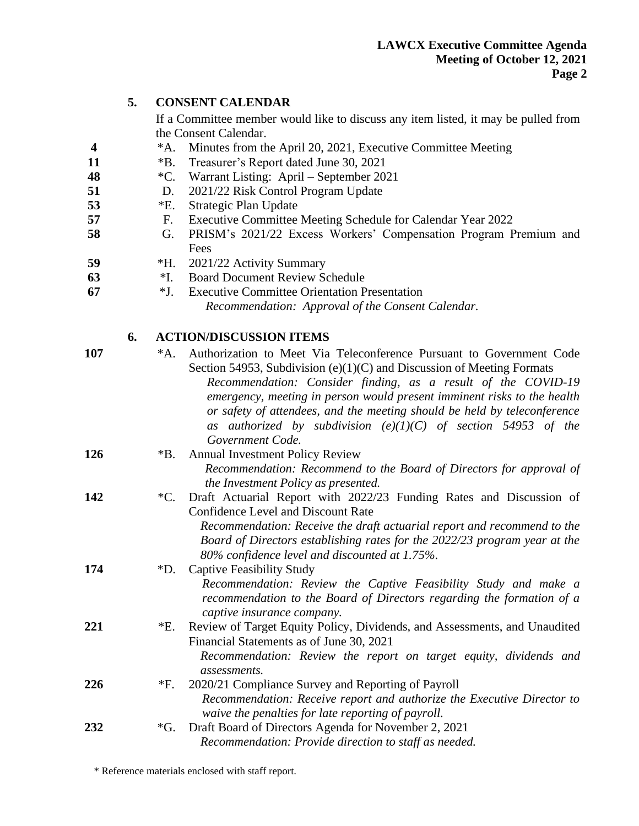|     | 5. | <b>CONSENT CALENDAR</b>                                                                                     |                                                                                                                  |
|-----|----|-------------------------------------------------------------------------------------------------------------|------------------------------------------------------------------------------------------------------------------|
|     |    | If a Committee member would like to discuss any item listed, it may be pulled from<br>the Consent Calendar. |                                                                                                                  |
| 4   |    | $^*A.$                                                                                                      | Minutes from the April 20, 2021, Executive Committee Meeting                                                     |
| 11  |    | $*B.$                                                                                                       | Treasurer's Report dated June 30, 2021                                                                           |
| 48  |    | $^{\ast}C.$                                                                                                 | Warrant Listing: April – September 2021                                                                          |
| 51  |    | D.                                                                                                          | 2021/22 Risk Control Program Update                                                                              |
| 53  |    | $E$ .                                                                                                       | Strategic Plan Update                                                                                            |
| 57  |    | F.                                                                                                          | Executive Committee Meeting Schedule for Calendar Year 2022                                                      |
| 58  |    | G.                                                                                                          | PRISM's 2021/22 Excess Workers' Compensation Program Premium and<br>Fees                                         |
| 59  |    | *Н.                                                                                                         | 2021/22 Activity Summary                                                                                         |
| 63  |    | $*I.$                                                                                                       | <b>Board Document Review Schedule</b>                                                                            |
| 67  |    | *J.                                                                                                         | <b>Executive Committee Orientation Presentation</b>                                                              |
|     |    |                                                                                                             | Recommendation: Approval of the Consent Calendar.                                                                |
|     | 6. | <b>ACTION/DISCUSSION ITEMS</b>                                                                              |                                                                                                                  |
| 107 |    | $^*A.$                                                                                                      | Authorization to Meet Via Teleconference Pursuant to Government Code                                             |
|     |    |                                                                                                             | Section 54953, Subdivision $(e)(1)(C)$ and Discussion of Meeting Formats                                         |
|     |    |                                                                                                             | Recommendation: Consider finding, as a result of the COVID-19                                                    |
|     |    |                                                                                                             | emergency, meeting in person would present imminent risks to the health                                          |
|     |    |                                                                                                             | or safety of attendees, and the meeting should be held by teleconference                                         |
|     |    |                                                                                                             | as authorized by subdivision $(e)(1)(C)$ of section 54953 of the                                                 |
|     |    |                                                                                                             | Government Code.                                                                                                 |
| 126 |    | $*B.$                                                                                                       | <b>Annual Investment Policy Review</b>                                                                           |
|     |    |                                                                                                             | Recommendation: Recommend to the Board of Directors for approval of                                              |
|     |    |                                                                                                             | the Investment Policy as presented.                                                                              |
| 142 |    | $^{\ast}C.$                                                                                                 | Draft Actuarial Report with 2022/23 Funding Rates and Discussion of<br><b>Confidence Level and Discount Rate</b> |
|     |    |                                                                                                             | Recommendation: Receive the draft actuarial report and recommend to the                                          |
|     |    |                                                                                                             | Board of Directors establishing rates for the 2022/23 program year at the                                        |
|     |    |                                                                                                             | 80% confidence level and discounted at 1.75%.                                                                    |
| 174 |    | $\boldsymbol{D}$ .                                                                                          | <b>Captive Feasibility Study</b>                                                                                 |
|     |    |                                                                                                             | Recommendation: Review the Captive Feasibility Study and make a                                                  |
|     |    |                                                                                                             | recommendation to the Board of Directors regarding the formation of a                                            |
|     |    |                                                                                                             | captive insurance company.                                                                                       |
| 221 |    | $E$ .                                                                                                       | Review of Target Equity Policy, Dividends, and Assessments, and Unaudited                                        |
|     |    |                                                                                                             | Financial Statements as of June 30, 2021                                                                         |
|     |    |                                                                                                             | Recommendation: Review the report on target equity, dividends and                                                |
|     |    |                                                                                                             | assessments.                                                                                                     |
| 226 |    | $*F.$                                                                                                       | 2020/21 Compliance Survey and Reporting of Payroll                                                               |
|     |    |                                                                                                             | Recommendation: Receive report and authorize the Executive Director to                                           |
|     |    |                                                                                                             | waive the penalties for late reporting of payroll.                                                               |
| 232 |    | *G.                                                                                                         | Draft Board of Directors Agenda for November 2, 2021                                                             |
|     |    |                                                                                                             | Recommendation: Provide direction to staff as needed.                                                            |

\* Reference materials enclosed with staff report.